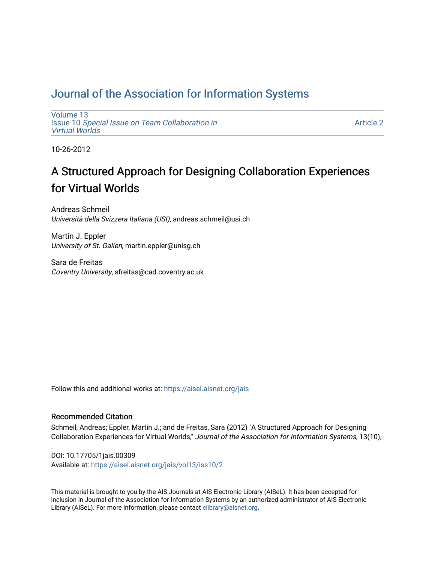# [Journal of the Association for Information Systems](https://aisel.aisnet.org/jais)

[Volume 13](https://aisel.aisnet.org/jais/vol13) Issue 10 [Special Issue on Team Collaboration in](https://aisel.aisnet.org/jais/vol13/iss10) [Virtual Worlds](https://aisel.aisnet.org/jais/vol13/iss10) 

[Article 2](https://aisel.aisnet.org/jais/vol13/iss10/2) 

10-26-2012

# A Structured Approach for Designing Collaboration Experiences for Virtual Worlds

Andreas Schmeil Università della Svizzera Italiana (USI), andreas.schmeil@usi.ch

Martin J. Eppler University of St. Gallen, martin.eppler@unisg.ch

Sara de Freitas Coventry University, sfreitas@cad.coventry.ac.uk

Follow this and additional works at: [https://aisel.aisnet.org/jais](https://aisel.aisnet.org/jais?utm_source=aisel.aisnet.org%2Fjais%2Fvol13%2Fiss10%2F2&utm_medium=PDF&utm_campaign=PDFCoverPages) 

#### Recommended Citation

.

Schmeil, Andreas; Eppler, Martin J.; and de Freitas, Sara (2012) "A Structured Approach for Designing Collaboration Experiences for Virtual Worlds," Journal of the Association for Information Systems, 13(10),

DOI: 10.17705/1jais.00309 Available at: [https://aisel.aisnet.org/jais/vol13/iss10/2](https://aisel.aisnet.org/jais/vol13/iss10/2?utm_source=aisel.aisnet.org%2Fjais%2Fvol13%2Fiss10%2F2&utm_medium=PDF&utm_campaign=PDFCoverPages) 

This material is brought to you by the AIS Journals at AIS Electronic Library (AISeL). It has been accepted for inclusion in Journal of the Association for Information Systems by an authorized administrator of AIS Electronic Library (AISeL). For more information, please contact [elibrary@aisnet.org.](mailto:elibrary@aisnet.org%3E)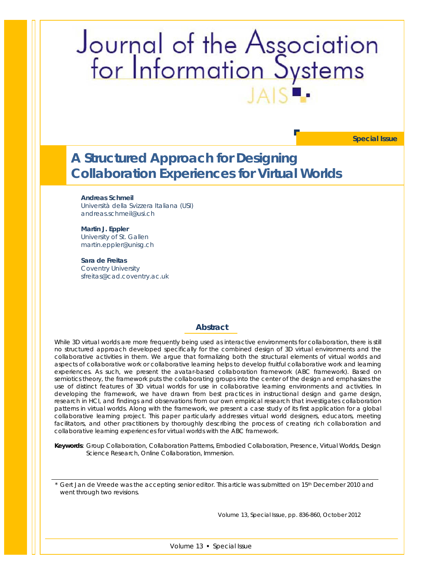# Journal of the Association<br>for Information Systems

**Special Issue**

# **A Structured Approach for Designing Collaboration Experiences for Virtual Worlds**

**Andreas Schmeil** Università della Svizzera Italiana (USI) andreas.schmeil@usi.ch

#### **Martin J. Eppler** University of St. Gallen martin.eppler@unisg.ch

**Sara de Freitas** Coventry University sfreitas@cad.coventry.ac.uk

#### **Abstract**

*While 3D virtual worlds are more frequently being used as interactive environments for collaboration, there is still no structured approach developed specifically for the combined design of 3D virtual environments and the collaborative activities in them. We argue that formalizing both the structural elements of virtual worlds and aspects of collaborative work or collaborative learning helps to develop fruitful collaborative work and learning experiences. As such, we present the avatar-based collaboration framework (ABC framework). Based on*  semiotics theory, the framework puts the collaborating groups into the center of the design and emphasizes the *use of distinct features of 3D virtual worlds for use in collaborative learning environments and activities. In developing the framework, we have drawn from best practices in instructional design and game design, research in HCI, and findings and observations from our own empirical research that investigates collaboration patterns in virtual worlds. Along with the framework, we present a case study of its first application for a global collaborative learning project. This paper particularly addresses virtual world designers, educators, meeting*  facilitators, and other practitioners by thoroughly describing the process of creating rich collaboration and *collaborative learning experiences for virtual worlds with the ABC framework.*

*Keywords: Group Collaboration, Collaboration Patterns, Embodied Collaboration, Presence, Virtual Worlds, Design Science Research, Online Collaboration, Immersion.*

Gert Jan de Vreede was the accepting senior editor. This article was submitted on 15<sup>th</sup> December 2010 and went through two revisions.

Volume 13, Special Issue, pp. 836-860, October 2012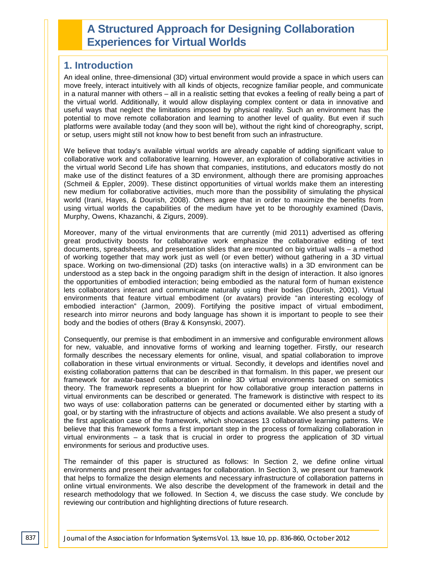# **A Structured Approach for Designing Collaboration Experiences for Virtual Worlds**

## **1. Introduction**

An ideal online, three-dimensional (3D) virtual environment would provide a space in which users can move freely, interact intuitively with all kinds of objects, recognize familiar people, and communicate in a natural manner with others – all in a realistic setting that evokes a feeling of really being a part of the virtual world. Additionally, it would allow displaying complex content or data in innovative and useful ways that neglect the limitations imposed by physical reality. Such an environment has the potential to move remote collaboration and learning to another level of quality. But even if such platforms were available today (and they soon will be), without the right kind of choreography, script, or setup, users might still not know how to best benefit from such an infrastructure.

We believe that today's available virtual worlds are already capable of adding significant value to collaborative work and collaborative learning. However, an exploration of collaborative activities in the virtual world Second Life has shown that companies, institutions, and educators mostly do not make use of the distinct features of a 3D environment, although there are promising approaches (Schmeil & Eppler, 2009). These distinct opportunities of virtual worlds make them an interesting new medium for collaborative activities, much more than the possibility of simulating the physical world (Irani, Hayes, & Dourish, 2008). Others agree that in order to maximize the benefits from using virtual worlds the capabilities of the medium have yet to be thoroughly examined (Davis, Murphy, Owens, Khazanchi, & Zigurs, 2009).

Moreover, many of the virtual environments that are currently (mid 2011) advertised as offering great productivity boosts for collaborative work emphasize the collaborative editing of text documents, spreadsheets, and presentation slides that are mounted on big virtual walls – a method of working together that may work just as well (or even better) without gathering in a 3D virtual space. Working on two-dimensional (2D) tasks (on interactive walls) in a 3D environment can be understood as a step back in the ongoing paradigm shift in the design of interaction. It also ignores the opportunities of embodied interaction; being embodied as the natural form of human existence lets collaborators interact and communicate naturally using their bodies (Dourish, 2001). Virtual environments that feature virtual embodiment (or avatars) provide "an interesting ecology of embodied interaction" (Jarmon, 2009). Fortifying the positive impact of virtual embodiment, research into mirror neurons and body language has shown it is important to people to see their body and the bodies of others (Bray & Konsynski, 2007).

Consequently, our premise is that embodiment in an immersive and configurable environment allows for new, valuable, and innovative forms of working and learning together. Firstly, our research formally describes the necessary elements for online, visual, and spatial collaboration to improve collaboration in these virtual environments or virtual. Secondly, it develops and identifies novel and existing collaboration patterns that can be described in that formalism. In this paper, we present our framework for avatar-based collaboration in online 3D virtual environments based on semiotics theory. The framework represents a blueprint for how collaborative group interaction patterns in virtual environments can be described or generated. The framework is distinctive with respect to its two ways of use: collaboration patterns can be generated or documented either by starting with a goal, or by starting with the infrastructure of objects and actions available. We also present a study of the first application case of the framework, which showcases 13 collaborative learning patterns. We believe that this framework forms a first important step in the process of formalizing collaboration in virtual environments – a task that is crucial in order to progress the application of 3D virtual environments for serious and productive uses.

The remainder of this paper is structured as follows: In Section 2, we define online virtual environments and present their advantages for collaboration. In Section 3, we present our framework that helps to formalize the design elements and necessary infrastructure of collaboration patterns in online virtual environments. We also describe the development of the framework in detail and the research methodology that we followed. In Section 4, we discuss the case study. We conclude by reviewing our contribution and highlighting directions of future research.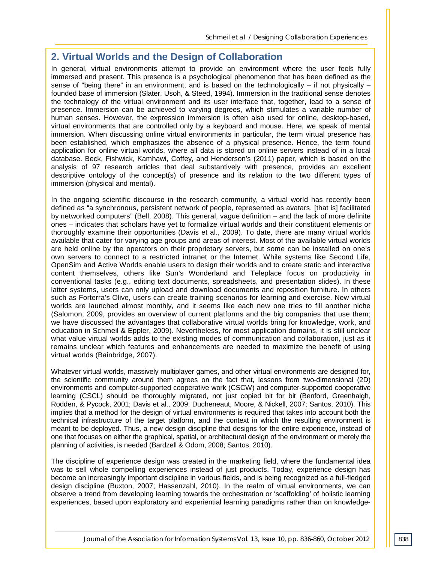# **2. Virtual Worlds and the Design of Collaboration**

In general, virtual environments attempt to provide an environment where the user feels fully immersed and present. This presence is a psychological phenomenon that has been defined as the sense of "being there" in an environment, and is based on the technologically  $-$  if not physically  $$ founded base of immersion (Slater, Usoh, & Steed, 1994). Immersion in the traditional sense denotes the technology of the virtual environment and its user interface that, together, lead to a sense of presence. Immersion can be achieved to varying degrees, which stimulates a variable number of human senses. However, the expression immersion is often also used for online, desktop-based, virtual environments that are controlled only by a keyboard and mouse. Here, we speak of mental immersion. When discussing online virtual environments in particular, the term virtual presence has been established, which emphasizes the absence of a physical presence. Hence, the term found application for online virtual worlds, where all data is stored on online servers instead of in a local database. Beck, Fishwick, Kamhawi, Coffey, and Henderson's (2011) paper, which is based on the analysis of 97 research articles that deal substantively with presence, provides an excellent descriptive ontology of the concept(s) of presence and its relation to the two different types of immersion (physical and mental).

In the ongoing scientific discourse in the research community, a virtual world has recently been defined as "a synchronous, persistent network of people, represented as avatars, [that is] facilitated by networked computers" (Bell, 2008). This general, vague definition – and the lack of more definite ones – indicates that scholars have yet to formalize virtual worlds and their constituent elements or thoroughly examine their opportunities (Davis et al., 2009). To date, there are many virtual worlds available that cater for varying age groups and areas of interest. Most of the available virtual worlds are held online by the operators on their proprietary servers, but some can be installed on one's own servers to connect to a restricted intranet or the Internet. While systems like Second Life, OpenSim and Active Worlds enable users to design their worlds and to create static and interactive content themselves, others like Sun's Wonderland and Teleplace focus on productivity in conventional tasks (e.g., editing text documents, spreadsheets, and presentation slides). In these latter systems, users can only upload and download documents and reposition furniture. In others such as Forterra's Olive, users can create training scenarios for learning and exercise. New virtual worlds are launched almost monthly, and it seems like each new one tries to fill another niche (Salomon, 2009, provides an overview of current platforms and the big companies that use them; we have discussed the advantages that collaborative virtual worlds bring for knowledge, work, and education in Schmeil & Eppler, 2009). Nevertheless, for most application domains, it is still unclear what value virtual worlds adds to the existing modes of communication and collaboration, just as it remains unclear which features and enhancements are needed to maximize the benefit of using virtual worlds (Bainbridge, 2007).

Whatever virtual worlds, massively multiplayer games, and other virtual environments are designed for, the scientific community around them agrees on the fact that, lessons from two-dimensional (2D) environments and computer-supported cooperative work (CSCW) and computer-supported cooperative learning (CSCL) should be thoroughly migrated, not just copied bit for bit (Benford, Greenhalgh, Rodden, & Pycock, 2001; Davis et al., 2009; Ducheneaut, Moore, & Nickell, 2007; Santos, 2010). This implies that a method for the design of virtual environments is required that takes into account both the technical infrastructure of the target platform, and the context in which the resulting environment is meant to be deployed. Thus, a new design discipline that designs for the entire experience, instead of one that focuses on either the graphical, spatial, or architectural design of the environment or merely the planning of activities, is needed (Bardzell & Odom, 2008; Santos, 2010).

The discipline of experience design was created in the marketing field, where the fundamental idea was to sell whole compelling experiences instead of just products. Today, experience design has become an increasingly important discipline in various fields, and is being recognized as a full-fledged design discipline (Buxton, 2007; Hassenzahl, 2010). In the realm of virtual environments, we can observe a trend from developing learning towards the orchestration or 'scaffolding' of holistic learning experiences, based upon exploratory and experiential learning paradigms rather than on knowledge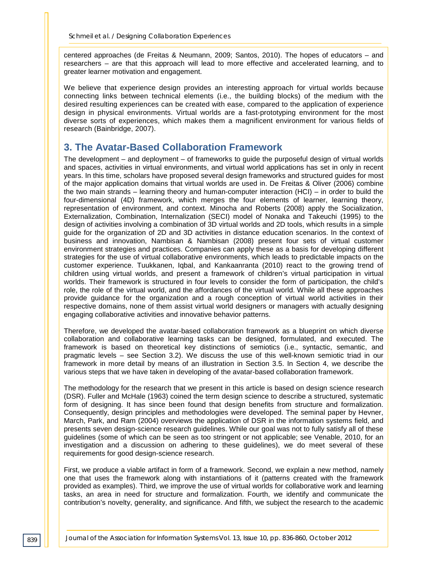centered approaches (de Freitas & Neumann, 2009; Santos, 2010). The hopes of educators – and researchers – are that this approach will lead to more effective and accelerated learning, and to greater learner motivation and engagement.

We believe that experience design provides an interesting approach for virtual worlds because connecting links between technical elements (i.e., the building blocks) of the medium with the desired resulting experiences can be created with ease, compared to the application of experience design in physical environments. Virtual worlds are a fast-prototyping environment for the most diverse sorts of experiences, which makes them a magnificent environment for various fields of research (Bainbridge, 2007).

# **3. The Avatar-Based Collaboration Framework**

The development – and deployment – of frameworks to guide the purposeful design of virtual worlds and spaces, activities in virtual environments, and virtual world applications has set in only in recent years. In this time, scholars have proposed several design frameworks and structured guides for most of the major application domains that virtual worlds are used in. De Freitas & Oliver (2006) combine the two main strands – learning theory and human-computer interaction (HCI) – in order to build the four-dimensional (4D) framework, which merges the four elements of learner, learning theory, representation of environment, and context. Minocha and Roberts (2008) apply the Socialization, Externalization, Combination, Internalization (SECI) model of Nonaka and Takeuchi (1995) to the design of activities involving a combination of 3D virtual worlds and 2D tools, which results in a simple guide for the organization of 2D and 3D activities in distance education scenarios. In the context of business and innovation, Nambisan & Nambisan (2008) present four sets of virtual customer environment strategies and practices. Companies can apply these as a basis for developing different strategies for the use of virtual collaborative environments, which leads to predictable impacts on the customer experience. Tuukkanen, Iqbal, and Kankaanranta (2010) react to the growing trend of children using virtual worlds, and present a framework of children's virtual participation in virtual worlds. Their framework is structured in four levels to consider the form of participation, the child's role, the role of the virtual world, and the affordances of the virtual world. While all these approaches provide guidance for the organization and a rough conception of virtual world activities in their respective domains, none of them assist virtual world designers or managers with actually designing engaging collaborative activities and innovative behavior patterns.

Therefore, we developed the avatar-based collaboration framework as a blueprint on which diverse collaboration and collaborative learning tasks can be designed, formulated, and executed. The framework is based on theoretical key distinctions of semiotics (i.e., syntactic, semantic, and pragmatic levels – see Section 3.2). We discuss the use of this well-known semiotic triad in our framework in more detail by means of an illustration in Section 3.5. In Section 4, we describe the various steps that we have taken in developing of the avatar-based collaboration framework.

The methodology for the research that we present in this article is based on design science research (DSR). Fuller and McHale (1963) coined the term design science to describe a structured, systematic form of designing. It has since been found that design benefits from structure and formalization. Consequently, design principles and methodologies were developed. The seminal paper by Hevner, March, Park, and Ram (2004) overviews the application of DSR in the information systems field, and presents seven design-science research guidelines. While our goal was not to fully satisfy all of these guidelines (some of which can be seen as too stringent or not applicable; see Venable, 2010, for an investigation and a discussion on adhering to these guidelines), we do meet several of these requirements for good design-science research.

First, we produce a viable artifact in form of a framework. Second, we explain a new method, namely one that uses the framework along with instantiations of it (patterns created with the framework provided as examples). Third, we improve the use of virtual worlds for collaborative work and learning tasks, an area in need for structure and formalization. Fourth, we identify and communicate the contribution's novelty, generality, and significance. And fifth, we subject the research to the academic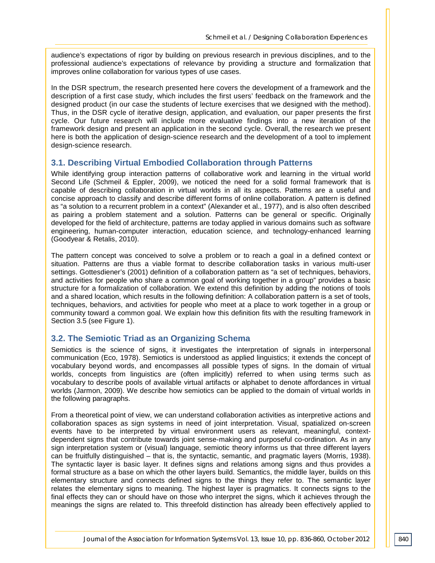audience's expectations of rigor by building on previous research in previous disciplines, and to the professional audience's expectations of relevance by providing a structure and formalization that improves online collaboration for various types of use cases.

In the DSR spectrum, the research presented here covers the development of a framework and the description of a first case study, which includes the first users' feedback on the framework and the designed product (in our case the students of lecture exercises that we designed with the method). Thus, in the DSR cycle of iterative design, application, and evaluation, our paper presents the first cycle. Our future research will include more evaluative findings into a new iteration of the framework design and present an application in the second cycle. Overall, the research we present here is both the application of design-science research and the development of a tool to implement design-science research.

#### **3.1. Describing Virtual Embodied Collaboration through Patterns**

While identifying group interaction patterns of collaborative work and learning in the virtual world Second Life (Schmeil & Eppler, 2009), we noticed the need for a solid formal framework that is capable of describing collaboration in virtual worlds in all its aspects. Patterns are a useful and concise approach to classify and describe different forms of online collaboration. A pattern is defined as "a solution to a recurrent problem in a context" (Alexander et al., 1977), and is also often described as pairing a problem statement and a solution. Patterns can be general or specific. Originally developed for the field of architecture, patterns are today applied in various domains such as software engineering, human-computer interaction, education science, and technology-enhanced learning (Goodyear & Retalis, 2010).

The pattern concept was conceived to solve a problem or to reach a goal in a defined context or situation. Patterns are thus a viable format to describe collaboration tasks in various multi-user settings. Gottesdiener's (2001) definition of a collaboration pattern as "a set of techniques, behaviors, and activities for people who share a common goal of working together in a group" provides a basic structure for a formalization of collaboration. We extend this definition by adding the notions of tools and a shared location, which results in the following definition: A collaboration pattern is a set of tools, techniques, behaviors, and activities for people who meet at a place to work together in a group or community toward a common goal. We explain how this definition fits with the resulting framework in Section 3.5 (see Figure 1).

#### **3.2. The Semiotic Triad as an Organizing Schema**

Semiotics is the science of signs, it investigates the interpretation of signals in interpersonal communication (Eco, 1978). Semiotics is understood as applied linguistics; it extends the concept of vocabulary beyond words, and encompasses all possible types of signs. In the domain of virtual worlds, concepts from linguistics are (often implicitly) referred to when using terms such as vocabulary to describe pools of available virtual artifacts or alphabet to denote affordances in virtual worlds (Jarmon, 2009). We describe how semiotics can be applied to the domain of virtual worlds in the following paragraphs.

From a theoretical point of view, we can understand collaboration activities as interpretive actions and collaboration spaces as sign systems in need of joint interpretation. Visual, spatialized on-screen events have to be interpreted by virtual environment users as relevant, meaningful, contextdependent signs that contribute towards joint sense-making and purposeful co-ordination. As in any sign interpretation system or (visual) language, semiotic theory informs us that three different layers can be fruitfully distinguished – that is, the syntactic, semantic, and pragmatic layers (Morris, 1938). The syntactic layer is basic layer. It defines signs and relations among signs and thus provides a formal structure as a base on which the other layers build. Semantics, the middle layer, builds on this elementary structure and connects defined signs to the things they refer to. The semantic layer relates the elementary signs to meaning. The highest layer is pragmatics. It connects signs to the final effects they can or should have on those who interpret the signs, which it achieves through the meanings the signs are related to. This threefold distinction has already been effectively applied to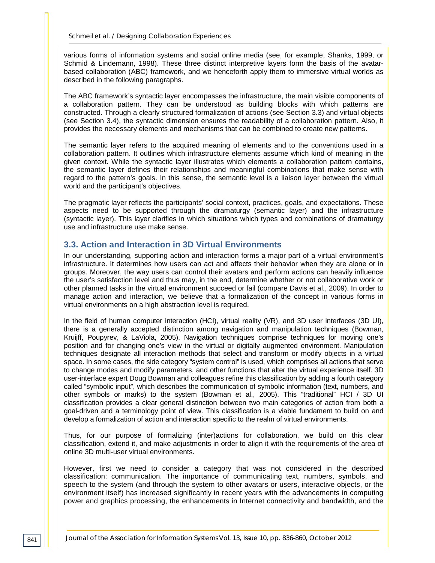various forms of information systems and social online media (see, for example, Shanks, 1999, or Schmid & Lindemann, 1998). These three distinct interpretive layers form the basis of the avatarbased collaboration (ABC) framework, and we henceforth apply them to immersive virtual worlds as described in the following paragraphs.

The ABC framework's syntactic layer encompasses the infrastructure, the main visible components of a collaboration pattern. They can be understood as building blocks with which patterns are constructed. Through a clearly structured formalization of actions (see Section 3.3) and virtual objects (see Section 3.4), the syntactic dimension ensures the readability of a collaboration pattern. Also, it provides the necessary elements and mechanisms that can be combined to create new patterns.

The semantic layer refers to the acquired meaning of elements and to the conventions used in a collaboration pattern. It outlines which infrastructure elements assume which kind of meaning in the given context. While the syntactic layer illustrates which elements a collaboration pattern contains, the semantic layer defines their relationships and meaningful combinations that make sense with regard to the pattern's goals. In this sense, the semantic level is a liaison layer between the virtual world and the participant's objectives.

The pragmatic layer reflects the participants' social context, practices, goals, and expectations. These aspects need to be supported through the dramaturgy (semantic layer) and the infrastructure (syntactic layer). This layer clarifies in which situations which types and combinations of dramaturgy use and infrastructure use make sense.

#### **3.3. Action and Interaction in 3D Virtual Environments**

In our understanding, supporting action and interaction forms a major part of a virtual environment's infrastructure. It determines how users can act and affects their behavior when they are alone or in groups. Moreover, the way users can control their avatars and perform actions can heavily influence the user's satisfaction level and thus may, in the end, determine whether or not collaborative work or other planned tasks in the virtual environment succeed or fail (compare Davis et al., 2009). In order to manage action and interaction, we believe that a formalization of the concept in various forms in virtual environments on a high abstraction level is required.

In the field of human computer interaction (HCI), virtual reality (VR), and 3D user interfaces (3D UI), there is a generally accepted distinction among navigation and manipulation techniques (Bowman, Kruijff, Poupyrev, & LaViola, 2005). Navigation techniques comprise techniques for moving one's position and for changing one's view in the virtual or digitally augmented environment. Manipulation techniques designate all interaction methods that select and transform or modify objects in a virtual space. In some cases, the side category "system control" is used, which comprises all actions that serve to change modes and modify parameters, and other functions that alter the virtual experience itself. 3D user-interface expert Doug Bowman and colleagues refine this classification by adding a fourth category called "symbolic input", which describes the communication of symbolic information (text, numbers, and other symbols or marks) to the system (Bowman et al., 2005). This "traditional" HCI / 3D UI classification provides a clear general distinction between two main categories of action from both a goal-driven and a terminology point of view. This classification is a viable fundament to build on and develop a formalization of action and interaction specific to the realm of virtual environments.

Thus, for our purpose of formalizing (inter)actions for collaboration, we build on this clear classification, extend it, and make adjustments in order to align it with the requirements of the area of online 3D multi-user virtual environments.

However, first we need to consider a category that was not considered in the described classification: communication. The importance of communicating text, numbers, symbols, and speech to the system (and through the system to other avatars or users, interactive objects, or the environment itself) has increased significantly in recent years with the advancements in computing power and graphics processing, the enhancements in Internet connectivity and bandwidth, and the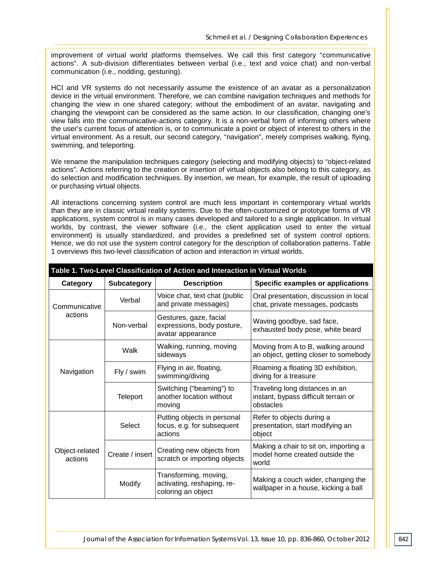improvement of virtual world platforms themselves. We call this first category "communicative actions". A sub-division differentiates between verbal (i.e., text and voice chat) and non-verbal communication (i.e., nodding, gesturing).

HCI and VR systems do not necessarily assume the existence of an avatar as a personalization device in the virtual environment. Therefore, we can combine navigation techniques and methods for changing the view in one shared category; without the embodiment of an avatar, navigating and changing the viewpoint can be considered as the same action. In our classification, changing one's view falls into the communicative-actions category. It is a non-verbal form of informing others where the user's current focus of attention is, or to communicate a point or object of interest to others in the virtual environment. As a result, our second category, "navigation", merely comprises walking, flying, swimming, and teleporting.

We rename the manipulation techniques category (selecting and modifying objects) to "object-related actions". Actions referring to the creation or insertion of virtual objects also belong to this category, as do selection and modification techniques. By insertion, we mean, for example, the result of uploading or purchasing virtual objects.

All interactions concerning system control are much less important in contemporary virtual worlds than they are in classic virtual reality systems. Due to the often-customized or prototype forms of VR applications, system control is in many cases developed and tailored to a single application. In virtual worlds, by contrast, the viewer software (i.e., the client application used to enter the virtual environment) is usually standardized, and provides a predefined set of system control options. Hence, we do not use the system control category for the description of collaboration patterns. Table 1 overviews this two-level classification of action and interaction in virtual worlds.

| Table 1. Two-Level Classification of Action and Interaction in Virtual Worlds |                 |                                                                           |                                                                                     |  |  |
|-------------------------------------------------------------------------------|-----------------|---------------------------------------------------------------------------|-------------------------------------------------------------------------------------|--|--|
| Category                                                                      | Subcategory     | <b>Description</b>                                                        | Specific examples or applications                                                   |  |  |
| Communicative<br>actions                                                      | Verbal          | Voice chat, text chat (public<br>and private messages)                    | Oral presentation, discussion in local<br>chat, private messages, podcasts          |  |  |
|                                                                               | Non-verbal      | Gestures, gaze, facial<br>expressions, body posture,<br>avatar appearance | Waving goodbye, sad face,<br>exhausted body pose, white beard                       |  |  |
| Navigation                                                                    | Walk            | Walking, running, moving<br>sideways                                      | Moving from A to B, walking around<br>an object, getting closer to somebody         |  |  |
|                                                                               | Fly / swim      | Flying in air, floating,<br>swimming/diving                               | Roaming a floating 3D exhibition,<br>diving for a treasure                          |  |  |
|                                                                               | Teleport        | Switching ("beaming") to<br>another location without<br>moving            | Traveling long distances in an<br>instant, bypass difficult terrain or<br>obstacles |  |  |
| Object-related<br>actions                                                     | Select          | Putting objects in personal<br>focus, e.g. for subsequent<br>actions      | Refer to objects during a<br>presentation, start modifying an<br>object             |  |  |
|                                                                               | Create / insert | Creating new objects from<br>scratch or importing objects                 | Making a chair to sit on, importing a<br>model home created outside the<br>world    |  |  |
|                                                                               | Modify          | Transforming, moving,<br>activating, reshaping, re-<br>coloring an object | Making a couch wider, changing the<br>wallpaper in a house, kicking a ball          |  |  |
|                                                                               |                 |                                                                           |                                                                                     |  |  |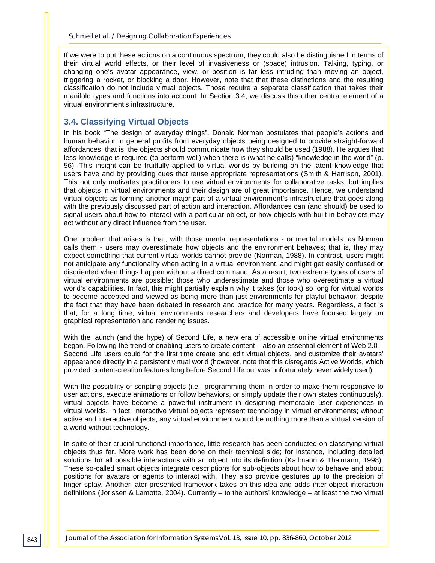If we were to put these actions on a continuous spectrum, they could also be distinguished in terms of their virtual world effects, or their level of invasiveness or (space) intrusion. Talking, typing, or changing one's avatar appearance, view, or position is far less intruding than moving an object, triggering a rocket, or blocking a door. However, note that that these distinctions and the resulting classification do not include virtual objects. Those require a separate classification that takes their manifold types and functions into account. In Section 3.4, we discuss this other central element of a virtual environment's infrastructure.

#### **3.4. Classifying Virtual Objects**

In his book "The design of everyday things", Donald Norman postulates that people's actions and human behavior in general profits from everyday objects being designed to provide straight-forward affordances; that is, the objects should communicate how they should be used (1988). He argues that less knowledge is required (to perform well) when there is (what he calls) "knowledge in the world" (p. 56). This insight can be fruitfully applied to virtual worlds by building on the latent knowledge that users have and by providing cues that reuse appropriate representations (Smith & Harrison, 2001). This not only motivates practitioners to use virtual environments for collaborative tasks, but implies that objects in virtual environments and their design are of great importance. Hence, we understand virtual objects as forming another major part of a virtual environment's infrastructure that goes along with the previously discussed part of action and interaction. Affordances can (and should) be used to signal users about how to interact with a particular object, or how objects with built-in behaviors may act without any direct influence from the user.

One problem that arises is that, with those mental representations - or mental models, as Norman calls them - users may overestimate how objects and the environment behaves; that is, they may expect something that current virtual worlds cannot provide (Norman, 1988). In contrast, users might not anticipate any functionality when acting in a virtual environment, and might get easily confused or disoriented when things happen without a direct command. As a result, two extreme types of users of virtual environments are possible: those who underestimate and those who overestimate a virtual world's capabilities. In fact, this might partially explain why it takes (or took) so long for virtual worlds to become accepted and viewed as being more than just environments for playful behavior, despite the fact that they have been debated in research and practice for many years. Regardless, a fact is that, for a long time, virtual environments researchers and developers have focused largely on graphical representation and rendering issues.

With the launch (and the hype) of Second Life, a new era of accessible online virtual environments began. Following the trend of enabling users to create content – also an essential element of Web 2.0 – Second Life users could for the first time create and edit virtual objects, and customize their avatars' appearance directly in a persistent virtual world (however, note that this disregards Active Worlds, which provided content-creation features long before Second Life but was unfortunately never widely used).

With the possibility of scripting objects (i.e., programming them in order to make them responsive to user actions, execute animations or follow behaviors, or simply update their own states continuously), virtual objects have become a powerful instrument in designing memorable user experiences in virtual worlds. In fact, interactive virtual objects represent technology in virtual environments; without active and interactive objects, any virtual environment would be nothing more than a virtual version of a world without technology.

In spite of their crucial functional importance, little research has been conducted on classifying virtual objects thus far. More work has been done on their technical side; for instance, including detailed solutions for all possible interactions with an object into its definition (Kallmann & Thalmann, 1998). These so-called smart objects integrate descriptions for sub-objects about how to behave and about positions for avatars or agents to interact with. They also provide gestures up to the precision of finger splay. Another later-presented framework takes on this idea and adds inter-object interaction definitions (Jorissen & Lamotte, 2004). Currently – to the authors' knowledge – at least the two virtual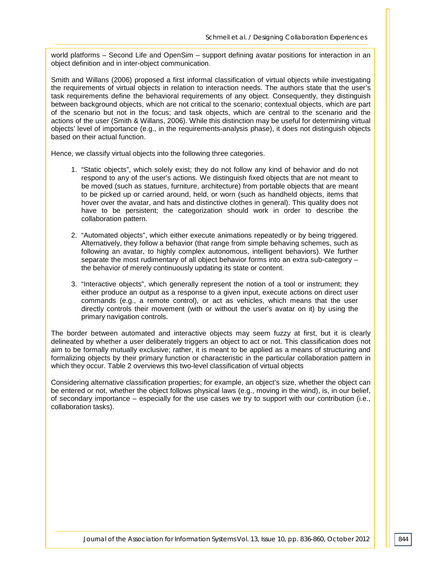world platforms – Second Life and OpenSim – support defining avatar positions for interaction in an object definition and in inter-object communication.

Smith and Willans (2006) proposed a first informal classification of virtual objects while investigating the requirements of virtual objects in relation to interaction needs. The authors state that the user's task requirements define the behavioral requirements of any object. Consequently, they distinguish between background objects, which are not critical to the scenario; contextual objects, which are part of the scenario but not in the focus; and task objects, which are central to the scenario and the actions of the user (Smith & Willans, 2006). While this distinction may be useful for determining virtual objects' level of importance (e.g., in the requirements-analysis phase), it does not distinguish objects based on their actual function.

Hence, we classify virtual objects into the following three categories.

- 1. "Static objects", which solely exist; they do not follow any kind of behavior and do not respond to any of the user's actions. We distinguish fixed objects that are not meant to be moved (such as statues, furniture, architecture) from portable objects that are meant to be picked up or carried around, held, or worn (such as handheld objects, items that hover over the avatar, and hats and distinctive clothes in general). This quality does not have to be persistent; the categorization should work in order to describe the collaboration pattern.
- 2. "Automated objects", which either execute animations repeatedly or by being triggered. Alternatively, they follow a behavior (that range from simple behaving schemes, such as following an avatar, to highly complex autonomous, intelligent behaviors). We further separate the most rudimentary of all object behavior forms into an extra sub-category – the behavior of merely continuously updating its state or content.
- 3. "Interactive objects", which generally represent the notion of a tool or instrument; they either produce an output as a response to a given input, execute actions on direct user commands (e.g., a remote control), or act as vehicles, which means that the user directly controls their movement (with or without the user's avatar on it) by using the primary navigation controls.

The border between automated and interactive objects may seem fuzzy at first, but it is clearly delineated by whether a user deliberately triggers an object to act or not. This classification does not aim to be formally mutually exclusive; rather, it is meant to be applied as a means of structuring and formalizing objects by their primary function or characteristic in the particular collaboration pattern in which they occur. Table 2 overviews this two-level classification of virtual objects

Considering alternative classification properties; for example, an object's size, whether the object can be entered or not, whether the object follows physical laws (e.g., moving in the wind), is, in our belief, of secondary importance – especially for the use cases we try to support with our contribution (i.e., collaboration tasks).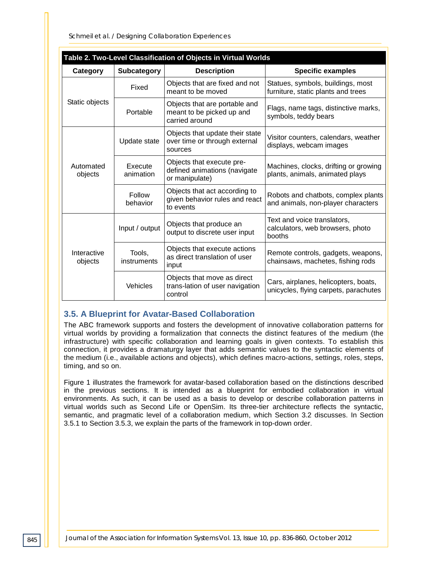*Schmeil et al. / Designing Collaboration Experiences*

| Table 2. Two-Level Classification of Objects in Virtual Worlds |                       |                                                                              |                                                                               |  |  |  |
|----------------------------------------------------------------|-----------------------|------------------------------------------------------------------------------|-------------------------------------------------------------------------------|--|--|--|
| Category                                                       | <b>Subcategory</b>    | <b>Description</b>                                                           | <b>Specific examples</b>                                                      |  |  |  |
| Static objects                                                 | Fixed                 | Objects that are fixed and not<br>meant to be moved                          | Statues, symbols, buildings, most<br>furniture, static plants and trees       |  |  |  |
|                                                                | Portable              | Objects that are portable and<br>meant to be picked up and<br>carried around | Flags, name tags, distinctive marks,<br>symbols, teddy bears                  |  |  |  |
| Automated<br>objects                                           | Update state          | Objects that update their state<br>over time or through external<br>sources  | Visitor counters, calendars, weather<br>displays, webcam images               |  |  |  |
|                                                                | Execute<br>animation  | Objects that execute pre-<br>defined animations (navigate<br>or manipulate)  | Machines, clocks, drifting or growing<br>plants, animals, animated plays      |  |  |  |
|                                                                | Follow<br>behavior    | Objects that act according to<br>given behavior rules and react<br>to events | Robots and chatbots, complex plants<br>and animals, non-player characters     |  |  |  |
| Interactive<br>objects                                         | Input / output        | Objects that produce an<br>output to discrete user input                     | Text and voice translators,<br>calculators, web browsers, photo<br>booths     |  |  |  |
|                                                                | Tools,<br>instruments | Objects that execute actions<br>as direct translation of user<br>input       | Remote controls, gadgets, weapons,<br>chainsaws, machetes, fishing rods       |  |  |  |
|                                                                | Vehicles              | Objects that move as direct<br>trans-lation of user navigation<br>control    | Cars, airplanes, helicopters, boats,<br>unicycles, flying carpets, parachutes |  |  |  |

### **3.5. A Blueprint for Avatar-Based Collaboration**

The ABC framework supports and fosters the development of innovative collaboration patterns for virtual worlds by providing a formalization that connects the distinct features of the medium (the infrastructure) with specific collaboration and learning goals in given contexts. To establish this connection, it provides a dramaturgy layer that adds semantic values to the syntactic elements of the medium (i.e., available actions and objects), which defines macro-actions, settings, roles, steps, timing, and so on.

Figure 1 illustrates the framework for avatar-based collaboration based on the distinctions described in the previous sections. It is intended as a blueprint for embodied collaboration in virtual environments. As such, it can be used as a basis to develop or describe collaboration patterns in virtual worlds such as Second Life or OpenSim. Its three-tier architecture reflects the syntactic, semantic, and pragmatic level of a collaboration medium, which Section 3.2 discusses. In Section 3.5.1 to Section 3.5.3, we explain the parts of the framework in top-down order.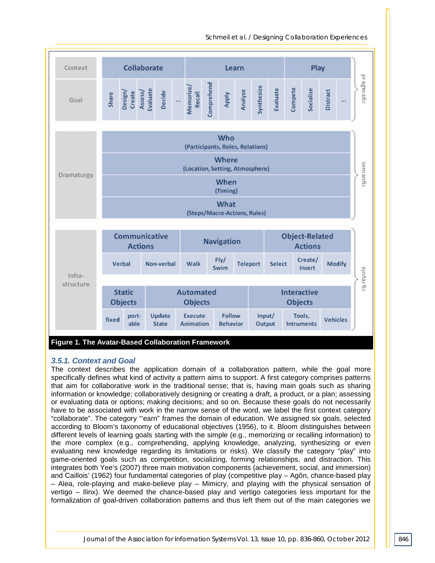*Schmeil et al. / Designing Collaboration Experiences*



#### *3.5.1. Context and Goal*

The context describes the application domain of a collaboration pattern, while the goal more specifically defines what kind of activity a pattern aims to support. A first category comprises patterns that aim for collaborative work in the traditional sense; that is, having main goals such as sharing information or knowledge; collaboratively designing or creating a draft, a product, or a plan; assessing or evaluating data or options; making decisions; and so on. Because these goals do not necessarily have to be associated with work in the narrow sense of the word, we label the first context category "collaborate". The category "'earn" frames the domain of education. We assigned six goals, selected according to Bloom's taxonomy of educational objectives (1956), to it. Bloom distinguishes between different levels of learning goals starting with the simple (e.g., memorizing or recalling information) to the more complex (e.g., comprehending, applying knowledge, analyzing, synthesizing or even evaluating new knowledge regarding its limitations or risks). We classify the category "play" into game-oriented goals such as competition, socializing, forming relationships, and distraction. This integrates both Yee's (2007) three main motivation components (achievement, social, and immersion) and Caillois' (1962) four fundamental categories of play (competitive play – Agôn, chance-based play – Alea, role-playing and make-believe play – Mimicry, and playing with the physical sensation of vertigo – Ilinx). We deemed the chance-based play and vertigo categories less important for the formalization of goal-driven collaboration patterns and thus left them out of the main categories we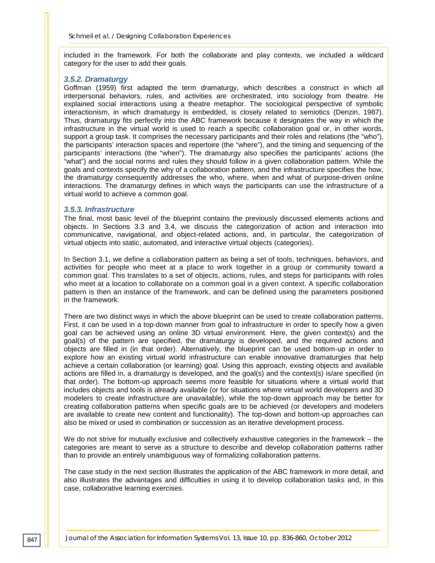included in the framework. For both the collaborate and play contexts, we included a wildcard category for the user to add their goals.

#### *3.5.2. Dramaturgy*

Goffman (1959) first adapted the term dramaturgy, which describes a construct in which all interpersonal behaviors, rules, and activities are orchestrated, into sociology from theatre. He explained social interactions using a theatre metaphor. The sociological perspective of symbolic interactionism, in which dramaturgy is embedded, is closely related to semiotics (Denzin, 1987). Thus, dramaturgy fits perfectly into the ABC framework because it designates the way in which the infrastructure in the virtual world is used to reach a specific collaboration goal or, in other words, support a group task. It comprises the necessary participants and their roles and relations (the "who"), the participants' interaction spaces and repertoire (the "where"), and the timing and sequencing of the participants' interactions (the "when"). The dramaturgy also specifies the participants' actions (the "what") and the social norms and rules they should follow in a given collaboration pattern. While the goals and contexts specify the why of a collaboration pattern, and the infrastructure specifies the how, the dramaturgy consequently addresses the who, where, when and what of purpose-driven online interactions. The dramaturgy defines in which ways the participants can use the infrastructure of a virtual world to achieve a common goal.

#### *3.5.3. Infrastructure*

The final, most basic level of the blueprint contains the previously discussed elements actions and objects. In Sections 3.3 and 3.4, we discuss the categorization of action and interaction into communicative, navigational, and object-related actions, and, in particular, the categorization of virtual objects into static, automated, and interactive virtual objects (categories).

In Section 3.1, we define a collaboration pattern as being a set of tools, techniques, behaviors, and activities for people who meet at a place to work together in a group or community toward a common goal. This translates to a set of objects, actions, rules, and steps for participants with roles who meet at a location to collaborate on a common goal in a given context. A specific collaboration pattern is then an instance of the framework, and can be defined using the parameters positioned in the framework.

There are two distinct ways in which the above blueprint can be used to create collaboration patterns. First, it can be used in a top-down manner from goal to infrastructure in order to specify how a given goal can be achieved using an online 3D virtual environment. Here, the given context(s) and the goal(s) of the pattern are specified, the dramaturgy is developed, and the required actions and objects are filled in (in that order). Alternatively, the blueprint can be used bottom-up in order to explore how an existing virtual world infrastructure can enable innovative dramaturgies that help achieve a certain collaboration (or learning) goal. Using this approach, existing objects and available actions are filled in, a dramaturgy is developed, and the goal(s) and the context(s) is/are specified (in that order). The bottom-up approach seems more feasible for situations where a virtual world that includes objects and tools is already available (or for situations where virtual world developers and 3D modelers to create infrastructure are unavailable), while the top-down approach may be better for creating collaboration patterns when specific goals are to be achieved (or developers and modelers are available to create new content and functionality). The top-down and bottom-up approaches can also be mixed or used in combination or succession as an iterative development process.

We do not strive for mutually exclusive and collectively exhaustive categories in the framework – the categories are meant to serve as a structure to describe and develop collaboration patterns rather than to provide an entirely unambiguous way of formalizing collaboration patterns.

The case study in the next section illustrates the application of the ABC framework in more detail, and also illustrates the advantages and difficulties in using it to develop collaboration tasks and, in this case, collaborative learning exercises.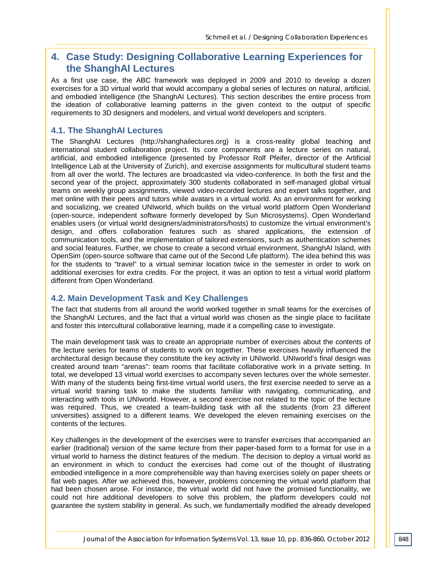## **4. Case Study: Designing Collaborative Learning Experiences for the ShanghAI Lectures**

As a first use case, the ABC framework was deployed in 2009 and 2010 to develop a dozen exercises for a 3D virtual world that would accompany a global series of lectures on natural, artificial, and embodied intelligence (the ShanghAI Lectures). This section describes the entire process from the ideation of collaborative learning patterns in the given context to the output of specific requirements to 3D designers and modelers, and virtual world developers and scripters.

#### **4.1. The ShanghAI Lectures**

The ShanghAI Lectures (http://shanghailectures.org) is a cross-reality global teaching and international student collaboration project. Its core components are a lecture series on natural, artificial, and embodied intelligence (presented by Professor Rolf Pfeifer, director of the Artificial Intelligence Lab at the University of Zurich), and exercise assignments for multicultural student teams from all over the world. The lectures are broadcasted via video-conference. In both the first and the second year of the project, approximately 300 students collaborated in self-managed global virtual teams on weekly group assignments, viewed video-recorded lectures and expert talks together, and met online with their peers and tutors while avatars in a virtual world. As an environment for working and socializing, we created UNIworld, which builds on the virtual world platform Open Wonderland (open-source, independent software formerly developed by Sun Microsystems). Open Wonderland enables users (or virtual world designers/administrators/hosts) to customize the virtual environment's design, and offers collaboration features such as shared applications, the extension of communication tools, and the implementation of tailored extensions, such as authentication schemes and social features. Further, we chose to create a second virtual environment, ShanghAI Island, with OpenSim (open-source software that came out of the Second Life platform). The idea behind this was for the students to "travel" to a virtual seminar location twice in the semester in order to work on additional exercises for extra credits. For the project, it was an option to test a virtual world platform different from Open Wonderland.

#### **4.2. Main Development Task and Key Challenges**

The fact that students from all around the world worked together in small teams for the exercises of the ShanghAI Lectures, and the fact that a virtual world was chosen as the single place to facilitate and foster this intercultural collaborative learning, made it a compelling case to investigate.

The main development task was to create an appropriate number of exercises about the contents of the lecture series for teams of students to work on together. These exercises heavily influenced the architectural design because they constitute the key activity in UNIworld. UNIworld's final design was created around team "arenas": team rooms that facilitate collaborative work in a private setting. In total, we developed 13 virtual world exercises to accompany seven lectures over the whole semester. With many of the students being first-time virtual world users, the first exercise needed to serve as a virtual world training task to make the students familiar with navigating, communicating, and interacting with tools in UNIworld. However, a second exercise not related to the topic of the lecture was required. Thus, we created a team-building task with all the students (from 23 different universities) assigned to a different teams. We developed the eleven remaining exercises on the contents of the lectures.

Key challenges in the development of the exercises were to transfer exercises that accompanied an earlier (traditional) version of the same lecture from their paper-based form to a format for use in a virtual world to harness the distinct features of the medium. The decision to deploy a virtual world as an environment in which to conduct the exercises had come out of the thought of illustrating embodied intelligence in a more comprehensible way than having exercises solely on paper sheets or flat web pages. After we achieved this, however, problems concerning the virtual world platform that had been chosen arose. For instance, the virtual world did not have the promised functionality, we could not hire additional developers to solve this problem, the platform developers could not guarantee the system stability in general. As such, we fundamentally modified the already developed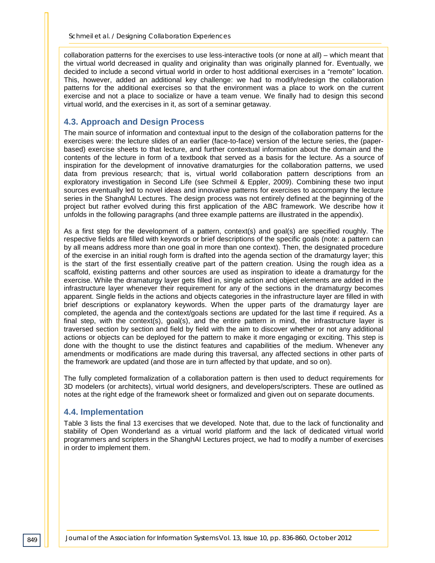collaboration patterns for the exercises to use less-interactive tools (or none at all) – which meant that the virtual world decreased in quality and originality than was originally planned for. Eventually, we decided to include a second virtual world in order to host additional exercises in a "remote" location. This, however, added an additional key challenge: we had to modify/redesign the collaboration patterns for the additional exercises so that the environment was a place to work on the current exercise and not a place to socialize or have a team venue. We finally had to design this second virtual world, and the exercises in it, as sort of a seminar getaway.

#### **4.3. Approach and Design Process**

The main source of information and contextual input to the design of the collaboration patterns for the exercises were: the lecture slides of an earlier (face-to-face) version of the lecture series, the (paperbased) exercise sheets to that lecture, and further contextual information about the domain and the contents of the lecture in form of a textbook that served as a basis for the lecture. As a source of inspiration for the development of innovative dramaturgies for the collaboration patterns, we used data from previous research; that is, virtual world collaboration pattern descriptions from an exploratory investigation in Second Life (see Schmeil & Eppler, 2009). Combining these two input sources eventually led to novel ideas and innovative patterns for exercises to accompany the lecture series in the ShanghAI Lectures. The design process was not entirely defined at the beginning of the project but rather evolved during this first application of the ABC framework. We describe how it unfolds in the following paragraphs (and three example patterns are illustrated in the appendix).

As a first step for the development of a pattern, context(s) and goal(s) are specified roughly. The respective fields are filled with keywords or brief descriptions of the specific goals (note: a pattern can by all means address more than one goal in more than one context). Then, the designated procedure of the exercise in an initial rough form is drafted into the agenda section of the dramaturgy layer; this is the start of the first essentially creative part of the pattern creation. Using the rough idea as a scaffold, existing patterns and other sources are used as inspiration to ideate a dramaturgy for the exercise. While the dramaturgy layer gets filled in, single action and object elements are added in the infrastructure layer whenever their requirement for any of the sections in the dramaturgy becomes apparent. Single fields in the actions and objects categories in the infrastructure layer are filled in with brief descriptions or explanatory keywords. When the upper parts of the dramaturgy layer are completed, the agenda and the context/goals sections are updated for the last time if required. As a final step, with the context(s), goal(s), and the entire pattern in mind, the infrastructure layer is traversed section by section and field by field with the aim to discover whether or not any additional actions or objects can be deployed for the pattern to make it more engaging or exciting. This step is done with the thought to use the distinct features and capabilities of the medium. Whenever any amendments or modifications are made during this traversal, any affected sections in other parts of the framework are updated (and those are in turn affected by that update, and so on).

The fully completed formalization of a collaboration pattern is then used to deduct requirements for 3D modelers (or architects), virtual world designers, and developers/scripters. These are outlined as notes at the right edge of the framework sheet or formalized and given out on separate documents.

#### **4.4. Implementation**

Table 3 lists the final 13 exercises that we developed. Note that, due to the lack of functionality and stability of Open Wonderland as a virtual world platform and the lack of dedicated virtual world programmers and scripters in the ShanghAI Lectures project, we had to modify a number of exercises in order to implement them.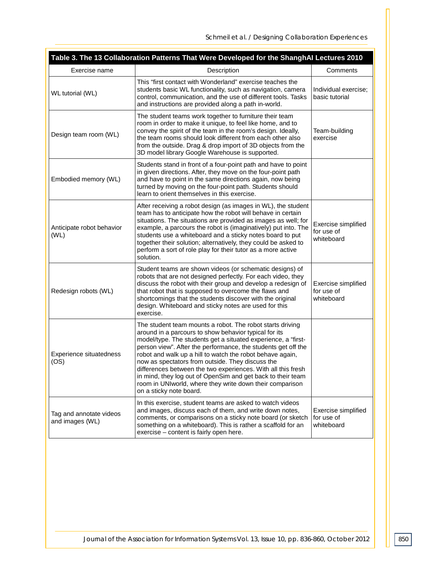| Table 3. The 13 Collaboration Patterns That Were Developed for the ShanghAI Lectures 2010 |                                                                                                                                                                                                                                                                                                                                                                                                                                                                                                                                                                                             |                                                 |  |  |  |
|-------------------------------------------------------------------------------------------|---------------------------------------------------------------------------------------------------------------------------------------------------------------------------------------------------------------------------------------------------------------------------------------------------------------------------------------------------------------------------------------------------------------------------------------------------------------------------------------------------------------------------------------------------------------------------------------------|-------------------------------------------------|--|--|--|
| Exercise name                                                                             | Description                                                                                                                                                                                                                                                                                                                                                                                                                                                                                                                                                                                 | Comments                                        |  |  |  |
| WL tutorial (WL)                                                                          | This "first contact with Wonderland" exercise teaches the<br>students basic WL functionality, such as navigation, camera<br>control, communication, and the use of different tools. Tasks<br>and instructions are provided along a path in-world.                                                                                                                                                                                                                                                                                                                                           | Individual exercise:<br>basic tutorial          |  |  |  |
| Design team room (WL)                                                                     | The student teams work together to furniture their team<br>room in order to make it unique, to feel like home, and to<br>convey the spirit of the team in the room's design. Ideally,<br>the team rooms should look different from each other also<br>from the outside. Drag & drop import of 3D objects from the<br>3D model library Google Warehouse is supported.                                                                                                                                                                                                                        | Team-building<br>exercise                       |  |  |  |
| Embodied memory (WL)                                                                      | Students stand in front of a four-point path and have to point<br>in given directions. After, they move on the four-point path<br>and have to point in the same directions again, now being<br>turned by moving on the four-point path. Students should<br>learn to orient themselves in this exercise.                                                                                                                                                                                                                                                                                     |                                                 |  |  |  |
| Anticipate robot behavior<br>(WL)                                                         | After receiving a robot design (as images in WL), the student<br>team has to anticipate how the robot will behave in certain<br>situations. The situations are provided as images as well; for<br>example, a parcours the robot is (imaginatively) put into. The<br>students use a whiteboard and a sticky notes board to put<br>together their solution; alternatively, they could be asked to<br>perform a sort of role play for their tutor as a more active<br>solution.                                                                                                                | Exercise simplified<br>for use of<br>whiteboard |  |  |  |
| Redesign robots (WL)                                                                      | Student teams are shown videos (or schematic designs) of<br>robots that are not designed perfectly. For each video, they<br>discuss the robot with their group and develop a redesign of<br>that robot that is supposed to overcome the flaws and<br>shortcomings that the students discover with the original<br>design. Whiteboard and sticky notes are used for this<br>exercise.                                                                                                                                                                                                        | Exercise simplified<br>for use of<br>whiteboard |  |  |  |
| Experience situatedness<br>(OS)                                                           | The student team mounts a robot. The robot starts driving<br>around in a parcours to show behavior typical for its<br>model/type. The students get a situated experience, a "first-<br>person view". After the performance, the students get off the<br>robot and walk up a hill to watch the robot behave again,<br>now as spectators from outside. They discuss the<br>differences between the two experiences. With all this fresh<br>in mind, they log out of OpenSim and get back to their team<br>room in UNIworld, where they write down their comparison<br>on a sticky note board. |                                                 |  |  |  |
| Tag and annotate videos<br>and images (WL)                                                | In this exercise, student teams are asked to watch videos<br>and images, discuss each of them, and write down notes,<br>comments, or comparisons on a sticky note board (or sketch<br>something on a whiteboard). This is rather a scaffold for an<br>exercise – content is fairly open here.                                                                                                                                                                                                                                                                                               | Exercise simplified<br>for use of<br>whiteboard |  |  |  |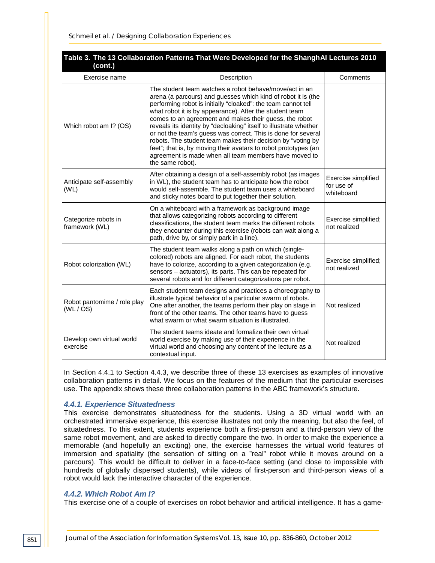| Table 3. The 13 Collaboration Patterns That Were Developed for the ShanghAI Lectures 2010<br>(cont.) |                                                                                                                                                                                                                                                                                                                                                                                                                                                                                                                                                                                                                                                                    |                                                 |  |  |  |
|------------------------------------------------------------------------------------------------------|--------------------------------------------------------------------------------------------------------------------------------------------------------------------------------------------------------------------------------------------------------------------------------------------------------------------------------------------------------------------------------------------------------------------------------------------------------------------------------------------------------------------------------------------------------------------------------------------------------------------------------------------------------------------|-------------------------------------------------|--|--|--|
| Exercise name                                                                                        | Description                                                                                                                                                                                                                                                                                                                                                                                                                                                                                                                                                                                                                                                        | Comments                                        |  |  |  |
| Which robot am I? (OS)                                                                               | The student team watches a robot behave/move/act in an<br>arena (a parcours) and guesses which kind of robot it is (the<br>performing robot is initially "cloaked": the team cannot tell<br>what robot it is by appearance). After the student team<br>comes to an agreement and makes their guess, the robot<br>reveals its identity by "decloaking" itself to illustrate whether<br>or not the team's guess was correct. This is done for several<br>robots. The student team makes their decision by "voting by<br>feet"; that is, by moving their avatars to robot prototypes (an<br>agreement is made when all team members have moved to<br>the same robot). |                                                 |  |  |  |
| Anticipate self-assembly<br>(WL)                                                                     | After obtaining a design of a self-assembly robot (as images<br>in WL), the student team has to anticipate how the robot<br>would self-assemble. The student team uses a whiteboard<br>and sticky notes board to put together their solution.                                                                                                                                                                                                                                                                                                                                                                                                                      | Exercise simplified<br>for use of<br>whiteboard |  |  |  |
| Categorize robots in<br>framework (WL)                                                               | On a whiteboard with a framework as background image<br>that allows categorizing robots according to different<br>classifications, the student team marks the different robots<br>they encounter during this exercise (robots can wait along a<br>path, drive by, or simply park in a line).                                                                                                                                                                                                                                                                                                                                                                       | Exercise simplified;<br>not realized            |  |  |  |
| Robot colorization (WL)                                                                              | The student team walks along a path on which (single-<br>colored) robots are aligned. For each robot, the students<br>have to colorize, according to a given categorization (e.g.<br>sensors - actuators), its parts. This can be repeated for<br>several robots and for different categorizations per robot.                                                                                                                                                                                                                                                                                                                                                      | Exercise simplified;<br>not realized            |  |  |  |
| Robot pantomime / role play<br>(WL / OS)                                                             | Each student team designs and practices a choreography to<br>illustrate typical behavior of a particular swarm of robots.<br>One after another, the teams perform their play on stage in<br>front of the other teams. The other teams have to guess<br>what swarm or what swarm situation is illustrated.                                                                                                                                                                                                                                                                                                                                                          | Not realized                                    |  |  |  |
| Develop own virtual world<br>exercise                                                                | The student teams ideate and formalize their own virtual<br>world exercise by making use of their experience in the<br>virtual world and choosing any content of the lecture as a<br>contextual input.                                                                                                                                                                                                                                                                                                                                                                                                                                                             | Not realized                                    |  |  |  |

In Section 4.4.1 to Section 4.4.3, we describe three of these 13 exercises as examples of innovative collaboration patterns in detail. We focus on the features of the medium that the particular exercises use. The appendix shows these three collaboration patterns in the ABC framework's structure.

#### *4.4.1. Experience Situatedness*

This exercise demonstrates situatedness for the students. Using a 3D virtual world with an orchestrated immersive experience, this exercise illustrates not only the meaning, but also the feel, of situatedness. To this extent, students experience both a first-person and a third-person view of the same robot movement, and are asked to directly compare the two. In order to make the experience a memorable (and hopefully an exciting) one, the exercise harnesses the virtual world features of immersion and spatiality (the sensation of sitting on a "real" robot while it moves around on a parcours). This would be difficult to deliver in a face-to-face setting (and close to impossible with hundreds of globally dispersed students), while videos of first-person and third-person views of a robot would lack the interactive character of the experience.

#### *4.4.2. Which Robot Am I?*

This exercise one of a couple of exercises on robot behavior and artificial intelligence. It has a game-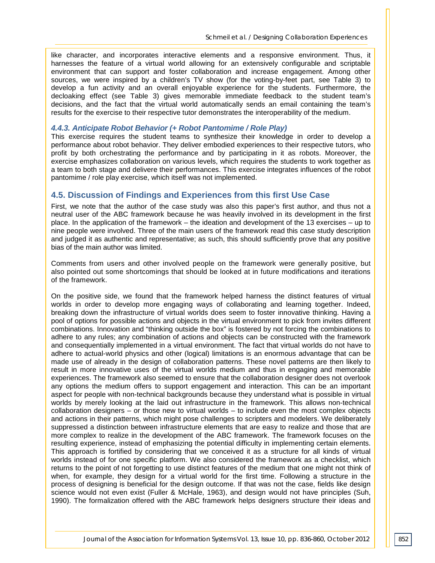like character, and incorporates interactive elements and a responsive environment. Thus, it harnesses the feature of a virtual world allowing for an extensively configurable and scriptable environment that can support and foster collaboration and increase engagement. Among other sources, we were inspired by a children's TV show (for the voting-by-feet part, see Table 3) to develop a fun activity and an overall enjoyable experience for the students. Furthermore, the decloaking effect (see Table 3) gives memorable immediate feedback to the student team's decisions, and the fact that the virtual world automatically sends an email containing the team's results for the exercise to their respective tutor demonstrates the interoperability of the medium.

#### *4.4.3. Anticipate Robot Behavior (+ Robot Pantomime / Role Play)*

This exercise requires the student teams to synthesize their knowledge in order to develop a performance about robot behavior. They deliver embodied experiences to their respective tutors, who profit by both orchestrating the performance and by participating in it as robots. Moreover, the exercise emphasizes collaboration on various levels, which requires the students to work together as a team to both stage and delivere their performances. This exercise integrates influences of the robot pantomime / role play exercise, which itself was not implemented.

#### **4.5. Discussion of Findings and Experiences from this first Use Case**

First, we note that the author of the case study was also this paper's first author, and thus not a neutral user of the ABC framework because he was heavily involved in its development in the first place. In the application of the framework – the ideation and development of the 13 exercises – up to nine people were involved. Three of the main users of the framework read this case study description and judged it as authentic and representative; as such, this should sufficiently prove that any positive bias of the main author was limited.

Comments from users and other involved people on the framework were generally positive, but also pointed out some shortcomings that should be looked at in future modifications and iterations of the framework.

On the positive side, we found that the framework helped harness the distinct features of virtual worlds in order to develop more engaging ways of collaborating and learning together. Indeed, breaking down the infrastructure of virtual worlds does seem to foster innovative thinking. Having a pool of options for possible actions and objects in the virtual environment to pick from invites different combinations. Innovation and "thinking outside the box" is fostered by not forcing the combinations to adhere to any rules; any combination of actions and objects can be constructed with the framework and consequentially implemented in a virtual environment. The fact that virtual worlds do not have to adhere to actual-world physics and other (logical) limitations is an enormous advantage that can be made use of already in the design of collaboration patterns. These novel patterns are then likely to result in more innovative uses of the virtual worlds medium and thus in engaging and memorable experiences. The framework also seemed to ensure that the collaboration designer does not overlook any options the medium offers to support engagement and interaction. This can be an important aspect for people with non-technical backgrounds because they understand what is possible in virtual worlds by merely looking at the laid out infrastructure in the framework. This allows non-technical collaboration designers – or those new to virtual worlds – to include even the most complex objects and actions in their patterns, which might pose challenges to scripters and modelers. We deliberately suppressed a distinction between infrastructure elements that are easy to realize and those that are more complex to realize in the development of the ABC framework. The framework focuses on the resulting experience, instead of emphasizing the potential difficulty in implementing certain elements. This approach is fortified by considering that we conceived it as a structure for all kinds of virtual worlds instead of for one specific platform. We also considered the framework as a checklist, which returns to the point of not forgetting to use distinct features of the medium that one might not think of when, for example, they design for a virtual world for the first time. Following a structure in the process of designing is beneficial for the design outcome. If that was not the case, fields like design science would not even exist (Fuller & McHale, 1963), and design would not have principles (Suh, 1990). The formalization offered with the ABC framework helps designers structure their ideas and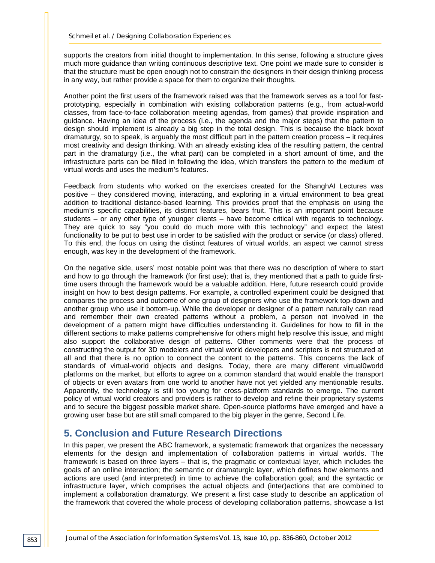supports the creators from initial thought to implementation. In this sense, following a structure gives much more guidance than writing continuous descriptive text. One point we made sure to consider is that the structure must be open enough not to constrain the designers in their design thinking process in any way, but rather provide a space for them to organize their thoughts.

Another point the first users of the framework raised was that the framework serves as a tool for fastprototyping, especially in combination with existing collaboration patterns (e.g., from actual-world classes, from face-to-face collaboration meeting agendas, from games) that provide inspiration and guidance. Having an idea of the process (i.e., the agenda and the major steps) that the pattern to design should implement is already a big step in the total design. This is because the black boxof dramaturgy, so to speak, is arguably the most difficult part in the pattern creation process – it requires most creativity and design thinking. With an already existing idea of the resulting pattern, the central part in the dramaturgy (i.e., the what part) can be completed in a short amount of time, and the infrastructure parts can be filled in following the idea, which transfers the pattern to the medium of virtual words and uses the medium's features.

Feedback from students who worked on the exercises created for the ShanghAI Lectures was positive – they considered moving, interacting, and exploring in a virtual environment to bea great addition to traditional distance-based learning. This provides proof that the emphasis on using the medium's specific capabilities, its distinct features, bears fruit. This is an important point because students – or any other type of younger clients – have become critical with regards to technology. They are quick to say "you could do much more with this technology" and expect the latest functionality to be put to best use in order to be satisfied with the product or service (or class) offered. To this end, the focus on using the distinct features of virtual worlds, an aspect we cannot stress enough, was key in the development of the framework.

On the negative side, users' most notable point was that there was no description of where to start and how to go through the framework (for first use); that is, they mentioned that a path to guide firsttime users through the framework would be a valuable addition. Here, future research could provide insight on how to best design patterns. For example, a controlled experiment could be designed that compares the process and outcome of one group of designers who use the framework top-down and another group who use it bottom-up. While the developer or designer of a pattern naturally can read and remember their own created patterns without a problem, a person not involved in the development of a pattern might have difficulties understanding it. Guidelines for how to fill in the different sections to make patterns comprehensive for others might help resolve this issue, and might also support the collaborative design of patterns. Other comments were that the process of constructing the output for 3D modelers and virtual world developers and scripters is not structured at all and that there is no option to connect the content to the patterns. This concerns the lack of standards of virtual-world objects and designs. Today, there are many different virtual0world platforms on the market, but efforts to agree on a common standard that would enable the transport of objects or even avatars from one world to another have not yet yielded any mentionable results. Apparently, the technology is still too young for cross-platform standards to emerge. The current policy of virtual world creators and providers is rather to develop and refine their proprietary systems and to secure the biggest possible market share. Open-source platforms have emerged and have a growing user base but are still small compared to the big player in the genre, Second Life.

## **5. Conclusion and Future Research Directions**

In this paper, we present the ABC framework, a systematic framework that organizes the necessary elements for the design and implementation of collaboration patterns in virtual worlds. The framework is based on three layers – that is, the pragmatic or contextual layer, which includes the goals of an online interaction; the semantic or dramaturgic layer, which defines how elements and actions are used (and interpreted) in time to achieve the collaboration goal; and the syntactic or infrastructure layer, which comprises the actual objects and (inter)actions that are combined to implement a collaboration dramaturgy. We present a first case study to describe an application of the framework that covered the whole process of developing collaboration patterns, showcase a list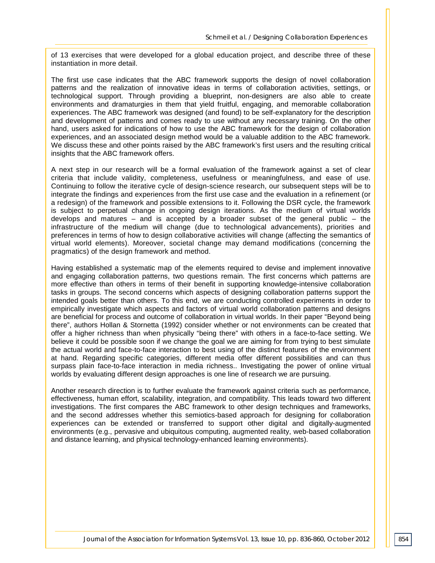of 13 exercises that were developed for a global education project, and describe three of these instantiation in more detail.

The first use case indicates that the ABC framework supports the design of novel collaboration patterns and the realization of innovative ideas in terms of collaboration activities, settings, or technological support. Through providing a blueprint, non-designers are also able to create environments and dramaturgies in them that yield fruitful, engaging, and memorable collaboration experiences. The ABC framework was designed (and found) to be self-explanatory for the description and development of patterns and comes ready to use without any necessary training. On the other hand, users asked for indications of how to use the ABC framework for the design of collaboration experiences, and an associated design method would be a valuable addition to the ABC framework. We discuss these and other points raised by the ABC framework's first users and the resulting critical insights that the ABC framework offers.

A next step in our research will be a formal evaluation of the framework against a set of clear criteria that include validity, completeness, usefulness or meaningfulness, and ease of use. Continuing to follow the iterative cycle of design-science research, our subsequent steps will be to integrate the findings and experiences from the first use case and the evaluation in a refinement (or a redesign) of the framework and possible extensions to it. Following the DSR cycle, the framework is subject to perpetual change in ongoing design iterations. As the medium of virtual worlds develops and matures – and is accepted by a broader subset of the general public – the infrastructure of the medium will change (due to technological advancements), priorities and preferences in terms of how to design collaborative activities will change (affecting the semantics of virtual world elements). Moreover, societal change may demand modifications (concerning the pragmatics) of the design framework and method.

Having established a systematic map of the elements required to devise and implement innovative and engaging collaboration patterns, two questions remain. The first concerns which patterns are more effective than others in terms of their benefit in supporting knowledge-intensive collaboration tasks in groups. The second concerns which aspects of designing collaboration patterns support the intended goals better than others. To this end, we are conducting controlled experiments in order to empirically investigate which aspects and factors of virtual world collaboration patterns and designs are beneficial for process and outcome of collaboration in virtual worlds. In their paper "Beyond being there", authors Hollan & Stornetta (1992) consider whether or not environments can be created that offer a higher richness than when physically "being there" with others in a face-to-face setting. We believe it could be possible soon if we change the goal we are aiming for from trying to best simulate the actual world and face-to-face interaction to best using of the distinct features of the environment at hand. Regarding specific categories, different media offer different possibilities and can thus surpass plain face-to-face interaction in media richness.. Investigating the power of online virtual worlds by evaluating different design approaches is one line of research we are pursuing.

Another research direction is to further evaluate the framework against criteria such as performance, effectiveness, human effort, scalability, integration, and compatibility. This leads toward two different investigations. The first compares the ABC framework to other design techniques and frameworks, and the second addresses whether this semiotics-based approach for designing for collaboration experiences can be extended or transferred to support other digital and digitally-augmented environments (e.g., pervasive and ubiquitous computing, augmented reality, web-based collaboration and distance learning, and physical technology-enhanced learning environments).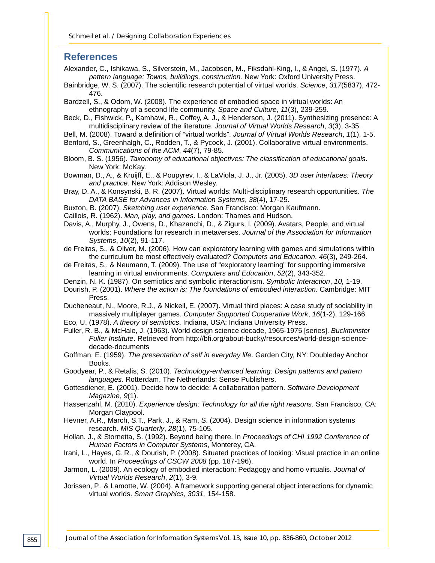#### **References**

Alexander, C., Ishikawa, S., Silverstein, M., Jacobsen, M., Fiksdahl-King, I., & Angel, S. (1977). *A pattern language: Towns, buildings, construction.* New York: Oxford University Press.

Bainbridge, W. S. (2007). The scientific research potential of virtual worlds. *Science*, *317*(5837), 472- 476.

Bardzell, S., & Odom, W. (2008). The experience of embodied space in virtual worlds: An ethnography of a second life community. *Space and Culture*, *11*(3), 239-259.

- Beck, D., Fishwick, P., Kamhawi, R., Coffey, A. J., & Henderson, J. (2011). Synthesizing presence: A multidisciplinary review of the literature. *Journal of Virtual Worlds Research*, *3*(3), 3-35.
- Bell, M. (2008). Toward a definition of "virtual worlds". *Journal of Virtual Worlds Research*, *1*(1), 1-5.
- Benford, S., Greenhalgh, C., Rodden, T., & Pycock, J. (2001). Collaborative virtual environments. *Communications of the ACM*, *44*(7), 79-85.
- Bloom, B. S. (1956). *Taxonomy of educational objectives: The classification of educational goals*. New York: McKay.
- Bowman, D., A., & Kruijff, E., & Poupyrev, I., & LaViola, J. J., Jr. (2005). *3D user interfaces: Theory and practice*. New York: Addison Wesley.
- Bray, D. A., & Konsynski, B. R. (2007). Virtual worlds: Multi-disciplinary research opportunities. *The DATA BASE for Advances in Information Systems*, *38*(4), 17-25.
- Buxton, B. (2007). *Sketching user experience*. San Francisco: Morgan Kaufmann.
- Caillois, R. (1962). *Man, play, and games*. London: Thames and Hudson.
- Davis, A., Murphy, J., Owens, D., Khazanchi, D., & Zigurs, I. (2009). Avatars, People, and virtual worlds: Foundations for research in metaverses. *Journal of the Association for Information Systems*, *10*(2), 91-117.

de Freitas, S., & Oliver, M. (2006). How can exploratory learning with games and simulations within the curriculum be most effectively evaluated? *Computers and Education*, *46*(3), 249-264.

- de Freitas, S., & Neumann, T. (2009). The use of "exploratory learning" for supporting immersive learning in virtual environments. *Computers and Education*, *52*(2), 343-352.
- Denzin, N. K. (1987). On semiotics and symbolic interactionism. *Symbolic Interaction*, *10,* 1-19.
- Dourish, P. (2001). *Where the action is: The foundations of embodied interaction*. Cambridge: MIT Press.
- Ducheneaut, N., Moore, R.J., & Nickell, E. (2007). Virtual third places: A case study of sociability in massively multiplayer games. *Computer Supported Cooperative Work*, *16*(1-2), 129-166.
- Eco, U. (1978). *A theory of semiotics*. Indiana, USA: Indiana University Press.
- Fuller, R. B., & McHale, J. (1963). World design science decade, 1965-1975 [series]. *Buckminster Fuller Institute*. Retrieved from http://bfi.org/about-bucky/resources/world-design-sciencedecade-documents
- Goffman, E. (1959). *The presentation of self in everyday life*. Garden City, NY: Doubleday Anchor Books.

Goodyear, P., & Retalis, S. (2010). *Technology-enhanced learning: Design patterns and pattern languages*. Rotterdam, The Netherlands: Sense Publishers.

- Gottesdiener, E. (2001). Decide how to decide: A collaboration pattern. *Software Development Magazine*, *9*(1).
- Hassenzahl, M. (2010). *Experience design: Technology for all the right reasons*. San Francisco, CA: Morgan Claypool.
- Hevner, A.R., March, S.T., Park, J., & Ram, S. (2004). Design science in information systems research. *MIS Quarterly*, *28*(1), 75-105.
- Hollan, J., & Stornetta, S. (1992). Beyond being there. In *Proceedings of CHI 1992 Conference of Human Factors in Computer Systems*, Monterey, CA.
- Irani, L., Hayes, G. R., & Dourish, P. (2008). Situated practices of looking: Visual practice in an online world. In *Proceedings of CSCW 2008* (pp. 187-196).
- Jarmon, L. (2009). An ecology of embodied interaction: Pedagogy and homo virtualis. *Journal of Virtual Worlds Research*, *2*(1), 3-9.
- Jorissen, P., & Lamotte, W. (2004). A framework supporting general object interactions for dynamic virtual worlds. *Smart Graphics*, *3031,* 154-158.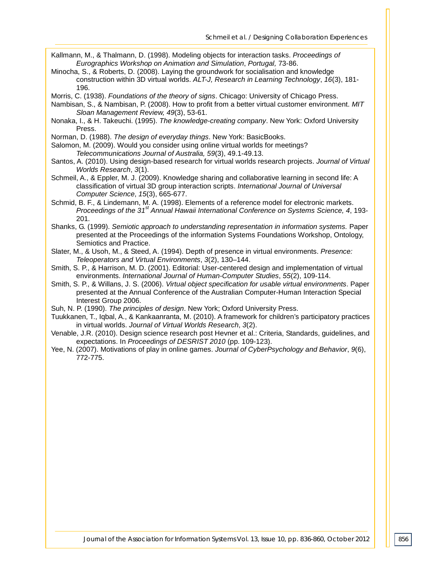- Kallmann, M., & Thalmann, D. (1998). Modeling objects for interaction tasks. *Proceedings of Eurographics Workshop on Animation and Simulation*, *Portugal,* 73-86.
- Minocha, S., & Roberts, D. (2008). Laying the groundwork for socialisation and knowledge construction within 3D virtual worlds. *ALT-J, Research in Learning Technology*, *16*(3), 181- 196.

Morris, C. (1938). *Foundations of the theory of signs*. Chicago: University of Chicago Press.

- Nambisan, S., & Nambisan, P. (2008). How to profit from a better virtual customer environment. *MIT Sloan Management Review, 49*(3), 53-61.
- Nonaka, I., & H. Takeuchi. (1995). *The knowledge-creating company*. New York: Oxford University Press.
- Norman, D. (1988). *The design of everyday things*. New York: BasicBooks.
- Salomon, M. (2009). Would you consider using online virtual worlds for meetings? *Telecommunications Journal of Australia, 59*(3), 49.1-49.13.
- Santos, A. (2010). Using design-based research for virtual worlds research projects. *Journal of Virtual Worlds Research*, *3*(1).
- Schmeil, A., & Eppler, M. J. (2009). Knowledge sharing and collaborative learning in second life: A classification of virtual 3D group interaction scripts. *International Journal of Universal Computer Science*, *15*(3), 665-677.
- Schmid, B. F., & Lindemann, M. A. (1998). Elements of a reference model for electronic markets. *Proceedings of the 31st Annual Hawaii International Conference on Systems Science, 4*, 193- 201.
- Shanks, G. (1999). *Semiotic approach to understanding representation in information systems.* Paper presented at the Proceedings of the information Systems Foundations Workshop, Ontology, Semiotics and Practice.
- Slater, M., & Usoh, M., & Steed, A. (1994). Depth of presence in virtual environments. *Presence: Teleoperators and Virtual Environments*, *3*(2), 130–144.
- Smith, S. P., & Harrison, M. D. (2001). Editorial: User-centered design and implementation of virtual environments. *International Journal of Human-Computer Studies*, *55*(2), 109-114.
- Smith, S. P., & Willans, J. S. (2006). *Virtual object specification for usable virtual environments*. Paper presented at the Annual Conference of the Australian Computer-Human Interaction Special Interest Group 2006.
- Suh, N. P. (1990). *The principles of design*. New York; Oxford University Press.
- Tuukkanen, T., Iqbal, A., & Kankaanranta, M. (2010). A framework for children's participatory practices in virtual worlds. *Journal of Virtual Worlds Research*, *3*(2).
- Venable, J.R. (2010). Design science research post Hevner et al.: Criteria, Standards, guidelines, and expectations. In *Proceedings of DESRIST 2010* (pp. 109-123).
- Yee, N. (2007). Motivations of play in online games. *Journal of CyberPsychology and Behavior*, *9*(6), 772-775.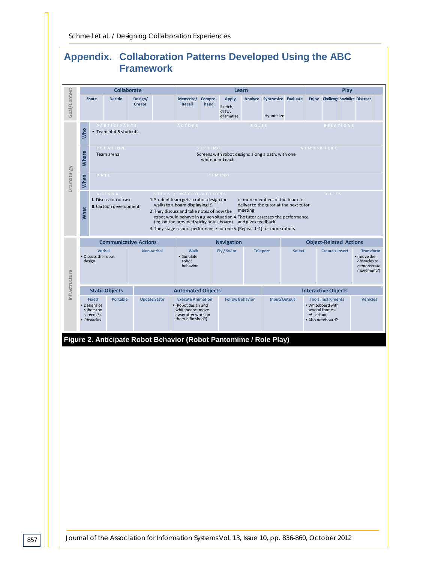# **Appendix. Collaboration Patterns Developed Using the ABC Framework**



**Figure 2. Anticipate Robot Behavior (Robot Pantomime / Role Play)**

*Journal of the Association for Information Systems Vol. 13, Issue 10, pp. 836-860, October 2012*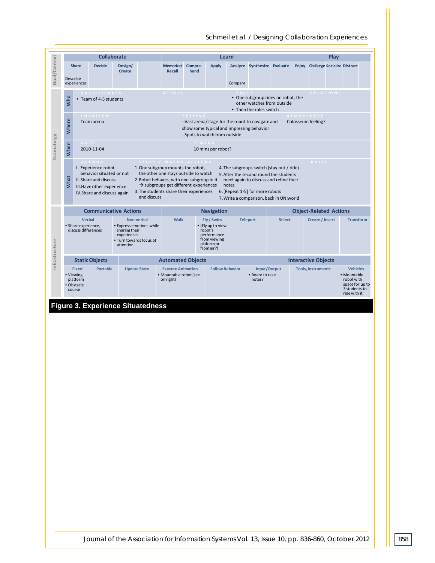

#### *Schmeil et al. / Designing Collaboration Experiences*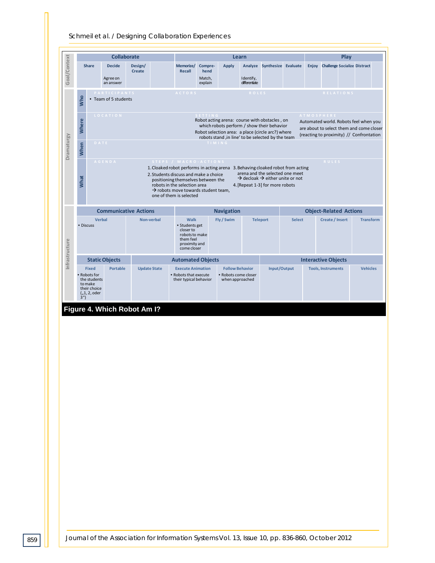#### *Schmeil et al. / Designing Collaboration Experiences*